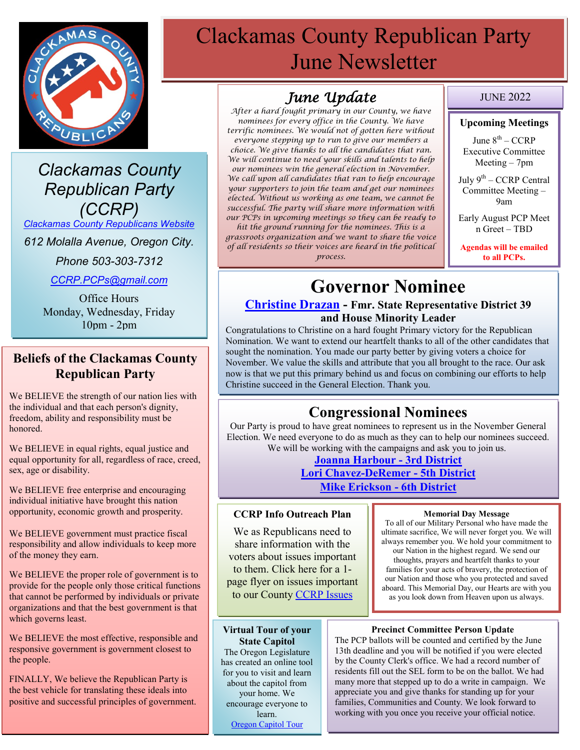

*Clackamas County Republican Party (CCRP)*

*[Clackamas County Republicans Website](https://www.clackamascountyrepublicans.org/)*

*612 Molalla Avenue, Oregon City.* 

*Phone 503-303-7312*

*[CCRP.PCPs@gmail.com](mailto:CCRP.PCPs@gmail.com)*

Office Hours Monday, Wednesday, Friday 10pm - 2pm

### **Beliefs of the Clackamas County Republican Party**

We BELIEVE the strength of our nation lies with the individual and that each person's dignity, freedom, ability and responsibility must be honored.

We BELIEVE in equal rights, equal justice and equal opportunity for all, regardless of race, creed, sex, age or disability.

We BELIEVE free enterprise and encouraging individual initiative have brought this nation opportunity, economic growth and prosperity.

We BELIEVE government must practice fiscal responsibility and allow individuals to keep more of the money they earn.

We BELIEVE the proper role of government is to provide for the people only those critical functions that cannot be performed by individuals or private organizations and that the best government is that which governs least.

We BELIEVE the most effective, responsible and responsive government is government closest to the people.

FINALLY, We believe the Republican Party is the best vehicle for translating these ideals into positive and successful principles of government.

# Clackamas County Republican Party June Newsletter

## *June Update*

*After a hard fought primary in our County, we have nominees for every office in the County. We have terrific nominees. We would not of gotten here without everyone stepping up to run to give our members a choice. We give thanks to all the candidates that ran. We will continue to need your skills and talents to help our nominees win the general election in November. We call upon all candidates that ran to help encourage your supporters to join the team and get our nominees elected. Without us working as one team, we cannot be successful. The party will share more information with our PCPs in upcoming meetings so they can be ready to* 

*hit the ground running for the nominees. This is a grassroots organization and we want to share the voice of all residents so their voices are heard in the political process.*

#### JUNE 2022

#### **Upcoming Meetings**

June  $8^{\text{th}}$  – CCRP Executive Committee Meeting – 7pm

July 9<sup>th</sup> – CCRP Central Committee Meeting – 9am

Early August PCP Meet n Greet – TBD

**Agendas will be emailed to all PCPs.**

## **Governor Nominee**

#### **[Christine Drazan](https://christinefororegon.com/) - Fmr. State Representative District 39 and House Minority Leader**

Congratulations to Christine on a hard fought Primary victory for the Republican Nomination. We want to extend our heartfelt thanks to all of the other candidates that sought the nomination. You made our party better by giving voters a choice for November. We value the skills and attribute that you all brought to the race. Our ask now is that we put this primary behind us and focus on combining our efforts to help Christine succeed in the General Election. Thank you.

## **Congressional Nominees**

Our Party is proud to have great nominees to represent us in the November General Election. We need everyone to do as much as they can to help our nominees succeed. We will be working with the campaigns and ask you to join us.

#### **[Joanna Harbour -](https://joanna4oregon.com/) 3rd District [Lori Chavez-DeRemer -](https://www.lorichavezderemer.com/home) 5th District [Mike Erickson -](https://mikeericksonforcongress.org/home/) 6th District**

#### **CCRP Info Outreach Plan**

We as Republicans need to share information with the voters about issues important to them. Click here for a 1 page flyer on issues important to our County [CCRP Issues](https://www.clackamascountyrepublicans.org/wp-content/uploads/2021/09/CCRP-Outreach.pdf)

#### **Virtual Tour of your State Capitol**

The Oregon Legislature has created an online tool for you to visit and learn about the capitol from your home. We encourage everyone to learn. [Oregon Capitol Tour](https://www.oregonlegislature.gov/capitolhistorygateway/Pages/default.aspx)

#### **Memorial Day Message**

To all of our Military Personal who have made the ultimate sacrifice, We will never forget you. We will always remember you. We hold your commitment to our Nation in the highest regard. We send our thoughts, prayers and heartfelt thanks to your families for your acts of bravery, the protection of our Nation and those who you protected and saved aboard. This Memorial Day, our Hearts are with you as you look down from Heaven upon us always.

#### **Precinct Committee Person Update**

The PCP ballots will be counted and certified by the June 13th deadline and you will be notified if you were elected by the County Clerk's office. We had a record number of residents fill out the SEL form to be on the ballot. We had many more that stepped up to do a write in campaign. We appreciate you and give thanks for standing up for your families, Communities and County. We look forward to working with you once you receive your official notice.